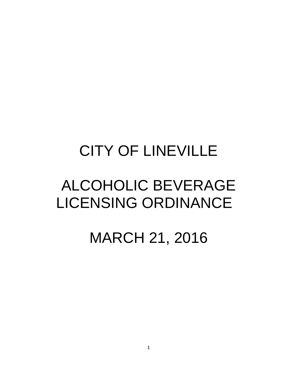## CITY OF LINEVILLE

# ALCOHOLIC BEVERAGE LICENSING ORDINANCE

## MARCH 21, 2016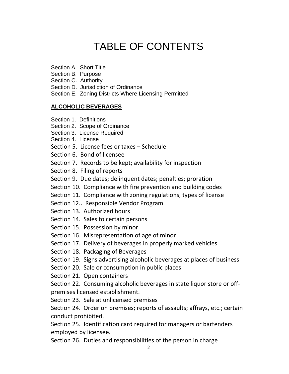## TABLE OF CONTENTS

- Section A. Short Title
- Section B. Purpose
- Section C. Authority
- Section D. Jurisdiction of Ordinance
- Section E. Zoning Districts Where Licensing Permitted

## **ALCOHOLIC BEVERAGES**

- Section 1. Definitions
- Section 2. Scope of Ordinance
- Section 3. License Required
- Section 4. License
- Section 5. License fees or taxes Schedule
- Section 6. Bond of licensee
- Section 7. Records to be kept; availability for inspection
- Section 8. Filing of reports
- Section 9. Due dates; delinquent dates; penalties; proration
- Section 10. Compliance with fire prevention and building codes
- Section 11. Compliance with zoning regulations, types of license
- Section 12.. Responsible Vendor Program
- Section 13. Authorized hours
- Section 14. Sales to certain persons
- Section 15. Possession by minor
- Section 16. Misrepresentation of age of minor
- Section 17. Delivery of beverages in properly marked vehicles
- Section 18. Packaging of Beverages
- Section 19. Signs advertising alcoholic beverages at places of business
- Section 20. Sale or consumption in public places
- Section 21. Open containers

Section 22. Consuming alcoholic beverages in state liquor store or offpremises licensed establishment.

Section 23. Sale at unlicensed premises

Section 24. Order on premises; reports of assaults; affrays, etc.; certain conduct prohibited.

Section 25. Identification card required for managers or bartenders employed by licensee.

Section 26. Duties and responsibilities of the person in charge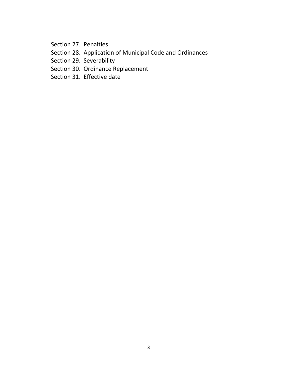Section 27. Penalties

- Section 28. Application of Municipal Code and Ordinances
- Section 29. Severability
- Section 30. Ordinance Replacement
- Section 31. Effective date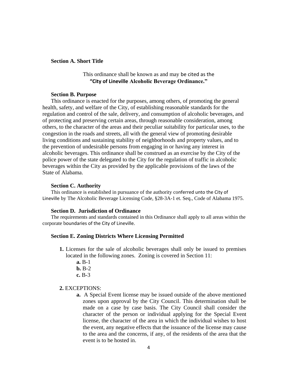#### **Section A. Short Title**

## This ordinance shall be known as and may be cited as the **"City of Lineville Alcoholic Beverage Ordinance."**

#### **Section B. Purpose**

This ordinance is enacted for the purposes, among others, of promoting the general health, safety, and welfare of the City, of establishing reasonable standards for the regulation and control of the sale, delivery, and consumption of alcoholic beverages, and of protecting and preserving certain areas, through reasonable consideration, among others, to the character of the areas and their peculiar suitability for particular uses, to the congestion in the roads and streets, all with the general view of promoting desirable living conditions and sustaining stability of neighborhoods and property values, and to the prevention of undesirable persons from engaging in or having any interest in alcoholic beverages. This ordinance shall be construed as an exercise by the City of the police power of the state delegated to the City for the regulation of traffic in alcoholic beverages within the City as provided by the applicable provisions of the laws of the State of Alabama.

#### **Section C. Authority**

This ordinance is established in pursuance of the authority conferred unto the City of Lineville by The Alcoholic Beverage Licensing Code, §28-3A-1 et. Seq., Code of Alabama 1975.

#### **Section D. Jurisdiction of Ordinance**

The requirements and standards contained in this Ordinance shall apply to all areas within the corporate boundaries of the City of Lineville.

#### **Section E. Zoning Districts Where Licensing Permitted**

- **1.** Licenses for the sale of alcoholic beverages shall only be issued to premises located in the following zones. Zoning is covered in Section 11:
	- **a.** B-1 **b.** B-2 **c.** B-3

#### **2.** EXCEPTIONS:

**a.** A Special Event license may be issued outside of the above mentioned zones upon approval by the City Council. This determination shall be made on a case by case basis. The City Council shall consider the character of the person or individual applying for the Special Event license, the character of the area in which the individual wishes to host the event, any negative effects that the issuance of the license may cause to the area and the concerns, if any, of the residents of the area that the event is to be hosted in.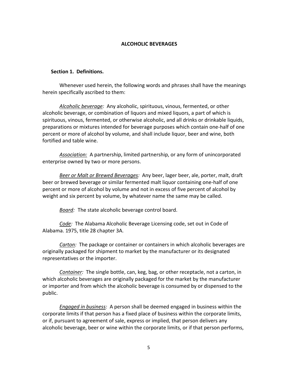#### **ALCOHOLIC BEVERAGES**

#### **Section 1. Definitions.**

Whenever used herein, the following words and phrases shall have the meanings herein specifically ascribed to them:

*Alcoholic beverage:* Any alcoholic, spirituous, vinous, fermented, or other alcoholic beverage, or combination of liquors and mixed liquors, a part of which is spirituous, vinous, fermented, or otherwise alcoholic, and all drinks or drinkable liquids, preparations or mixtures intended for beverage purposes which contain one-half of one percent or more of alcohol by volume, and shall include liquor, beer and wine, both fortified and table wine.

*Association:* A partnership, limited partnership, or any form of unincorporated enterprise owned by two or more persons.

*Beer or Malt or Brewed Beverages:* Any beer, lager beer, ale, porter, malt, draft beer or brewed beverage or similar fermented malt liquor containing one-half of one percent or more of alcohol by volume and not in excess of five percent of alcohol by weight and six percent by volume, by whatever name the same may be called.

*Board:* The state alcoholic beverage control board.

*Code:* The Alabama Alcoholic Beverage Licensing code, set out in Code of Alabama. 1975, title 28 chapter 3A.

*Carton:* The package or container or containers in which alcoholic beverages are originally packaged for shipment to market by the manufacturer or its designated representatives or the importer.

*Container:* The single bottle, can, keg, bag, or other receptacle, not a carton, in which alcoholic beverages are originally packaged for the market by the manufacturer or importer and from which the alcoholic beverage is consumed by or dispensed to the public.

*Engaged in business:* A person shall be deemed engaged in business within the corporate limits if that person has a fixed place of business within the corporate limits, or if, pursuant to agreement of sale, express or implied, that person delivers any alcoholic beverage, beer or wine within the corporate limits, or if that person performs,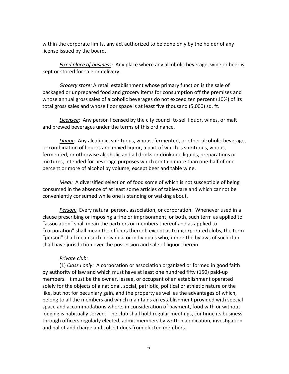within the corporate limits, any act authorized to be done only by the holder of any license issued by the board.

*Fixed place of business:* Any place where any alcoholic beverage, wine or beer is kept or stored for sale or delivery.

*Grocery store:* A retail establishment whose primary function is the sale of packaged or unprepared food and grocery items for consumption off the premises and whose annual gross sales of alcoholic beverages do not exceed ten percent (10%) of its total gross sales and whose floor space is at least five thousand (5,000) sq. ft.

*Licensee:* Any person licensed by the city council to sell liquor, wines, or malt and brewed beverages under the terms of this ordinance.

*Liquor:* Any alcoholic, spirituous, vinous, fermented, or other alcoholic beverage, or combination of liquors and mixed liquor, a part of which is spirituous, vinous, fermented, or otherwise alcoholic and all drinks or drinkable liquids, preparations or mixtures, intended for beverage purposes which contain more than one-half of one percent or more of alcohol by volume, except beer and table wine.

*Meal:* A diversified selection of food some of which is not susceptible of being consumed in the absence of at least some articles of tableware and which cannot be conveniently consumed while one is standing or walking about.

*Person:* Every natural person, association, or corporation. Whenever used in a clause prescribing or imposing a fine or imprisonment, or both, such term as applied to "association" shall mean the partners or members thereof and as applied to "corporation" shall mean the officers thereof, except as to incorporated clubs, the term "person" shall mean such individual or individuals who, under the bylaws of such club shall have jurisdiction over the possession and sale of liquor therein.

## *Private club:*

(1) *Class I only:* A corporation or association organized or formed in good faith by authority of law and which must have at least one hundred fifty (150) paid-up members. It must be the owner, lessee, or occupant of an establishment operated solely for the objects of a national, social, patriotic, political or athletic nature or the like, but not for pecuniary gain, and the property as well as the advantages of which, belong to all the members and which maintains an establishment provided with special space and accommodations where, in consideration of payment, food with or without lodging is habitually served. The club shall hold regular meetings, continue its business through officers regularly elected, admit members by written application, investigation and ballot and charge and collect dues from elected members.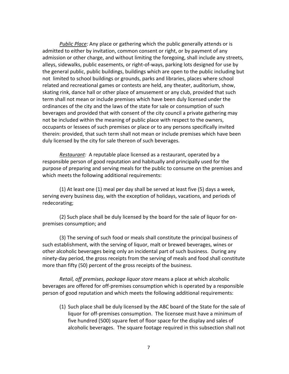*Public Place:* Any place or gathering which the public generally attends or is admitted to either by invitation, common consent or right, or by payment of any admission or other charge, and without limiting the foregoing, shall include any streets, alleys, sidewalks, public easements, or right-of-ways, parking lots designed for use by the general public, public buildings, buildings which are open to the public including but not limited to school buildings or grounds, parks and libraries, places where school related and recreational games or contests are held, any theater, auditorium, show, skating rink, dance hall or other place of amusement or any club, provided that such term shall not mean or include premises which have been duly licensed under the ordinances of the city and the laws of the state for sale or consumption of such beverages and provided that with consent of the city council a private gathering may not be included within the meaning of public place with respect to the owners, occupants or lessees of such premises or place or to any persons specifically invited therein: provided, that such term shall not mean or include premises which have been duly licensed by the city for sale thereon of such beverages.

*Restaurant:* A reputable place licensed as a restaurant, operated by a responsible person of good reputation and habitually and principally used for the purpose of preparing and serving meals for the public to consume on the premises and which meets the following additional requirements:

(1) At least one (1) meal per day shall be served at least five (5) days a week, serving every business day, with the exception of holidays, vacations, and periods of redecorating;

(2) Such place shall be duly licensed by the board for the sale of liquor for onpremises consumption; and

(3) The serving of such food or meals shall constitute the principal business of such establishment, with the serving of liquor, malt or brewed beverages, wines or other alcoholic beverages being only an incidental part of such business. During any ninety-day period, the gross receipts from the serving of meals and food shall constitute more than fifty (50) percent of the gross receipts of the business.

*Retail, off premises, package liquor store* means a place at which alcoholic beverages are offered for off-premises consumption which is operated by a responsible person of good reputation and which meets the following additional requirements:

(1) Such place shall be duly licensed by the ABC board of the State for the sale of liquor for off-premises consumption. The licensee must have a minimum of five hundred (500) square feet of floor space for the display and sales of alcoholic beverages. The square footage required in this subsection shall not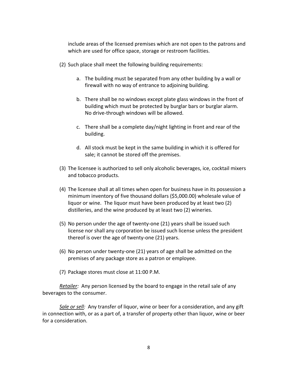include areas of the licensed premises which are not open to the patrons and which are used for office space, storage or restroom facilities.

- (2) Such place shall meet the following building requirements:
	- a. The building must be separated from any other building by a wall or firewall with no way of entrance to adjoining building.
	- b. There shall be no windows except plate glass windows in the front of building which must be protected by burglar bars or burglar alarm. No drive-through windows will be allowed.
	- c. There shall be a complete day/night lighting in front and rear of the building.
	- d. All stock must be kept in the same building in which it is offered for sale; it cannot be stored off the premises.
- (3) The licensee is authorized to sell only alcoholic beverages, ice, cocktail mixers and tobacco products.
- (4) The licensee shall at all times when open for business have in its possession a minimum inventory of five thousand dollars (\$5,000.00) wholesale value of liquor or wine. The liquor must have been produced by at least two (2) distilleries, and the wine produced by at least two (2) wineries.
- (5) No person under the age of twenty-one (21) years shall be issued such license nor shall any corporation be issued such license unless the president thereof is over the age of twenty-one (21) years.
- (6) No person under twenty-one (21) years of age shall be admitted on the premises of any package store as a patron or employee.
- (7) Package stores must close at 11:00 P.M.

*Retailer:* Any person licensed by the board to engage in the retail sale of any beverages to the consumer.

*Sale or sell:* Any transfer of liquor, wine or beer for a consideration, and any gift in connection with, or as a part of, a transfer of property other than liquor, wine or beer for a consideration.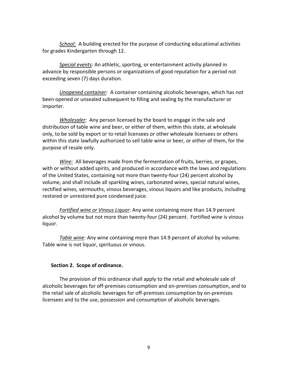*School:* A building erected for the purpose of conducting educational activities for grades Kindergarten through 12.

*Special events:* An athletic, sporting, or entertainment activity planned in advance by responsible persons or organizations of good reputation for a period not exceeding seven (7) days duration.

*Unopened container:* A container containing alcoholic beverages, which has not been opened or unsealed subsequent to filling and sealing by the manufacturer or importer.

*Wholesaler:* Any person licensed by the board to engage in the sale and distribution of table wine and beer, or either of them, within this state, at wholesale only, to be sold by export or to retail licensees or other wholesale licensees or others within this state lawfully authorized to sell table wine or beer, or either of them, for the purpose of resale only.

*Wine:* All beverages made from the fermentation of fruits, berries, or grapes, with or without added spirits, and produced in accordance with the laws and regulations of the United States, containing not more than twenty-four (24) percent alcohol by volume, and shall include all sparkling wines, carbonated wines, special natural wines, rectified wines, vermouths, vinous beverages, vinous liquors and like products, including restored or unrestored pure condensed juice.

*Fortified wine or Vinous Liquor:* Any wine containing more than 14.9 percent alcohol by volume but not more than twenty-four (24) percent. Fortified wine is vinous liquor.

*Table wine:* Any wine containing more than 14.9 percent of alcohol by volume. Table wine is not liquor, spirituous or vinous.

#### **Section 2. Scope of ordinance.**

The provision of this ordinance shall apply to the retail and wholesale sale of alcoholic beverages for off-premises consumption and on-premises consumption, and to the retail sale of alcoholic beverages for off-premises consumption by on-premises licensees and to the use, possession and consumption of alcoholic beverages.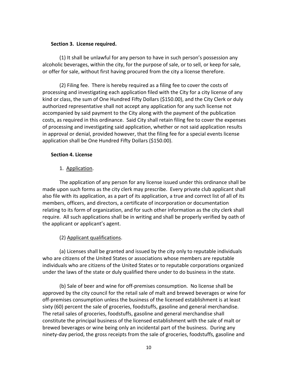#### **Section 3. License required.**

(1) It shall be unlawful for any person to have in such person's possession any alcoholic beverages, within the city, for the purpose of sale, or to sell, or keep for sale, or offer for sale, without first having procured from the city a license therefore.

(2) Filing fee. There is hereby required as a filing fee to cover the costs of processing and investigating each application filed with the City for a city license of any kind or class, the sum of One Hundred Fifty Dollars (\$150.00), and the City Clerk or duly authorized representative shall not accept any application for any such license not accompanied by said payment to the City along with the payment of the publication costs, as required in this ordinance. Said City shall retain filing fee to cover the expenses of processing and investigating said application, whether or not said application results in approval or denial, provided however, that the filing fee for a special events license application shall be One Hundred Fifty Dollars (\$150.00).

## **Section 4. License**

## 1. Application.

The application of any person for any license issued under this ordinance shall be made upon such forms as the city clerk may prescribe. Every private club applicant shall also file with its application, as a part of its application, a true and correct list of all of its members, officers, and directors, a certificate of incorporation or documentation relating to its form of organization, and for such other information as the city clerk shall require. All such applications shall be in writing and shall be properly verified by oath of the applicant or applicant's agent.

## (2) Applicant qualifications.

(a) Licenses shall be granted and issued by the city only to reputable individuals who are citizens of the United States or associations whose members are reputable individuals who are citizens of the United States or to reputable corporations organized under the laws of the state or duly qualified there under to do business in the state.

(b) Sale of beer and wine for off-premises consumption. No license shall be approved by the city council for the retail sale of malt and brewed beverages or wine for off-premises consumption unless the business of the licensed establishment is at least sixty (60) percent the sale of groceries, foodstuffs, gasoline and general merchandise. The retail sales of groceries, foodstuffs, gasoline and general merchandise shall constitute the principal business of the licensed establishment with the sale of malt or brewed beverages or wine being only an incidental part of the business. During any ninety-day period, the gross receipts from the sale of groceries, foodstuffs, gasoline and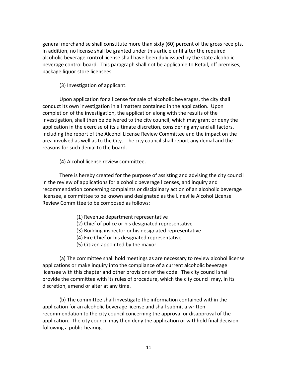general merchandise shall constitute more than sixty (60) percent of the gross receipts. In addition, no license shall be granted under this article until after the required alcoholic beverage control license shall have been duly issued by the state alcoholic beverage control board. This paragraph shall not be applicable to Retail, off premises, package liquor store licensees.

## (3) Investigation of applicant.

Upon application for a license for sale of alcoholic beverages, the city shall conduct its own investigation in all matters contained in the application. Upon completion of the investigation, the application along with the results of the investigation, shall then be delivered to the city council, which may grant or deny the application in the exercise of its ultimate discretion, considering any and all factors, including the report of the Alcohol License Review Committee and the impact on the area involved as well as to the City. The city council shall report any denial and the reasons for such denial to the board.

## (4) Alcohol license review committee.

There is hereby created for the purpose of assisting and advising the city council in the review of applications for alcoholic beverage licenses, and inquiry and recommendation concerning complaints or disciplinary action of an alcoholic beverage licensee, a committee to be known and designated as the Lineville Alcohol License Review Committee to be composed as follows:

- (1) Revenue department representative
- (2) Chief of police or his designated representative
- (3) Building inspector or his designated representative
- (4) Fire Chief or his designated representative
- (5) Citizen appointed by the mayor

(a) The committee shall hold meetings as are necessary to review alcohol license applications or make inquiry into the compliance of a current alcoholic beverage licensee with this chapter and other provisions of the code. The city council shall provide the committee with its rules of procedure, which the city council may, in its discretion, amend or alter at any time.

(b) The committee shall investigate the information contained within the application for an alcoholic beverage license and shall submit a written recommendation to the city council concerning the approval or disapproval of the application. The city council may then deny the application or withhold final decision following a public hearing.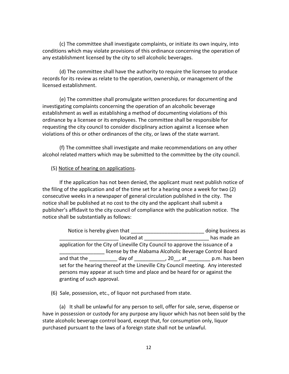(c) The committee shall investigate complaints, or initiate its own inquiry, into conditions which may violate provisions of this ordinance concerning the operation of any establishment licensed by the city to sell alcoholic beverages.

(d) The committee shall have the authority to require the licensee to produce records for its review as relate to the operation, ownership, or management of the licensed establishment.

(e) The committee shall promulgate written procedures for documenting and investigating complaints concerning the operation of an alcoholic beverage establishment as well as establishing a method of documenting violations of this ordinance by a licensee or its employees. The committee shall be responsible for requesting the city council to consider disciplinary action against a licensee when violations of this or other ordinances of the city, or laws of the state warrant.

(f) The committee shall investigate and make recommendations on any other alcohol related matters which may be submitted to the committee by the city council.

## (5) Notice of hearing on applications.

If the application has not been denied, the applicant must next publish notice of the filing of the application and of the time set for a hearing once a week for two (2) consecutive weeks in a newspaper of general circulation published in the city. The notice shall be published at no cost to the city and the applicant shall submit a publisher's affidavit to the city council of compliance with the publication notice. The notice shall be substantially as follows:

Notice is hereby given that \_\_\_\_\_\_\_\_\_\_\_\_\_\_\_\_\_\_\_\_\_\_\_\_\_\_\_\_\_\_\_\_ doing business as located at \_\_\_\_\_\_\_\_\_\_\_\_\_\_\_\_\_\_\_\_\_\_\_\_\_\_\_ has made an application for the City of Lineville City Council to approve the issuance of a \_\_\_\_\_\_\_\_\_\_\_\_\_\_\_\_ license by the Alabama Alcoholic Beverage Control Board and that the \_\_\_\_\_\_\_\_\_\_\_ day of \_\_\_\_\_\_\_\_\_\_\_\_, 20\_\_, at \_\_\_\_\_\_\_\_\_\_ p.m. has been set for the hearing thereof at the Lineville City Council meeting. Any interested persons may appear at such time and place and be heard for or against the granting of such approval.

(6) Sale, possession, etc., of liquor not purchased from state.

(a) It shall be unlawful for any person to sell, offer for sale, serve, dispense or have in possession or custody for any purpose any liquor which has not been sold by the state alcoholic beverage control board, except that, for consumption only, liquor purchased pursuant to the laws of a foreign state shall not be unlawful.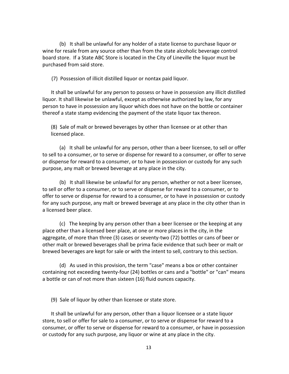(b) It shall be unlawful for any holder of a state license to purchase liquor or wine for resale from any source other than from the state alcoholic beverage control board store. If a State ABC Store is located in the City of Lineville the liquor must be purchased from said store.

(7) Possession of illicit distilled liquor or nontax paid liquor.

It shall be unlawful for any person to possess or have in possession any illicit distilled liquor. It shall likewise be unlawful, except as otherwise authorized by law, for any person to have in possession any liquor which does not have on the bottle or container thereof a state stamp evidencing the payment of the state liquor tax thereon.

(8) Sale of malt or brewed beverages by other than licensee or at other than licensed place.

(a) It shall be unlawful for any person, other than a beer licensee, to sell or offer to sell to a consumer, or to serve or dispense for reward to a consumer, or offer to serve or dispense for reward to a consumer, or to have in possession or custody for any such purpose, any malt or brewed beverage at any place in the city.

(b) It shall likewise be unlawful for any person, whether or not a beer licensee, to sell or offer to a consumer, or to serve or dispense for reward to a consumer, or to offer to serve or dispense for reward to a consumer, or to have in possession or custody for any such purpose, any malt or brewed beverage at any place in the city other than in a licensed beer place.

(c) The keeping by any person other than a beer licensee or the keeping at any place other than a licensed beer place, at one or more places in the city, in the aggregate, of more than three (3) cases or seventy-two (72) bottles or cans of beer or other malt or brewed beverages shall be prima facie evidence that such beer or malt or brewed beverages are kept for sale or with the intent to sell, contrary to this section.

(d) As used in this provision, the term "case" means a box or other container containing not exceeding twenty-four (24) bottles or cans and a "bottle" or "can" means a bottle or can of not more than sixteen (16) fluid ounces capacity.

(9) Sale of liquor by other than licensee or state store.

It shall be unlawful for any person, other than a liquor licensee or a state liquor store, to sell or offer for sale to a consumer, or to serve or dispense for reward to a consumer, or offer to serve or dispense for reward to a consumer, or have in possession or custody for any such purpose, any liquor or wine at any place in the city.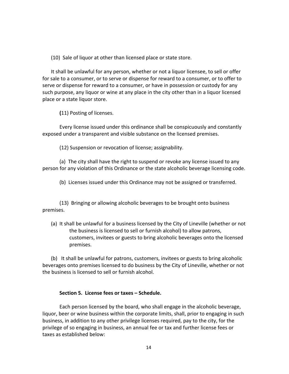(10) Sale of liquor at other than licensed place or state store.

It shall be unlawful for any person, whether or not a liquor licensee, to sell or offer for sale to a consumer, or to serve or dispense for reward to a consumer, or to offer to serve or dispense for reward to a consumer, or have in possession or custody for any such purpose, any liquor or wine at any place in the city other than in a liquor licensed place or a state liquor store.

**(**11) Posting of licenses.

Every license issued under this ordinance shall be conspicuously and constantly exposed under a transparent and visible substance on the licensed premises.

(12) Suspension or revocation of license; assignability.

(a) The city shall have the right to suspend or revoke any license issued to any person for any violation of this Ordinance or the state alcoholic beverage licensing code.

(b) Licenses issued under this Ordinance may not be assigned or transferred.

(13) Bringing or allowing alcoholic beverages to be brought onto business premises.

(a) It shall be unlawful for a business licensed by the City of Lineville (whether or not the business is licensed to sell or furnish alcohol) to allow patrons, customers, invitees or guests to bring alcoholic beverages onto the licensed premises.

(b) It shall be unlawful for patrons, customers, invitees or guests to bring alcoholic beverages onto premises licensed to do business by the City of Lineville, whether or not the business is licensed to sell or furnish alcohol.

#### **Section 5. License fees or taxes – Schedule.**

Each person licensed by the board, who shall engage in the alcoholic beverage, liquor, beer or wine business within the corporate limits, shall, prior to engaging in such business, in addition to any other privilege licenses required, pay to the city, for the privilege of so engaging in business, an annual fee or tax and further license fees or taxes as established below: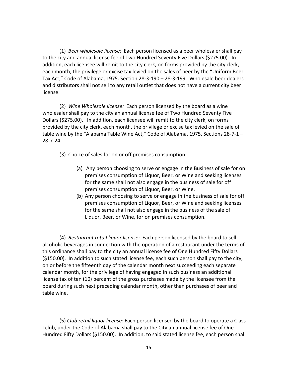(1) *Beer wholesale license:* Each person licensed as a beer wholesaler shall pay to the city and annual license fee of Two Hundred Seventy Five Dollars (\$275.00). In addition, each licensee will remit to the city clerk, on forms provided by the city clerk, each month, the privilege or excise tax levied on the sales of beer by the "Uniform Beer Tax Act," Code of Alabama, 1975. Section 28-3-190 – 28-3-199. Wholesale beer dealers and distributors shall not sell to any retail outlet that does not have a current city beer license.

(2) *Wine Wholesale license:* Each person licensed by the board as a wine wholesaler shall pay to the city an annual license fee of Two Hundred Seventy Five Dollars (\$275.00). In addition, each licensee will remit to the city clerk, on forms provided by the city clerk, each month, the privilege or excise tax levied on the sale of table wine by the "Alabama Table Wine Act," Code of Alabama, 1975. Sections 28-7-1 – 28-7-24.

(3) Choice of sales for on or off premises consumption.

- (a) Any person choosing to serve or engage in the Business of sale for on premises consumption of Liquor, Beer, or Wine and seeking licenses for the same shall not also engage in the business of sale for off premises consumption of Liquor, Beer, or Wine.
- (b) Any person choosing to serve or engage in the business of sale for off premises consumption of Liquor, Beer, or Wine and seeking licenses for the same shall not also engage in the business of the sale of Liquor, Beer, or Wine, for on premises consumption.

(4) *Restaurant retail liquor license:* Each person licensed by the board to sell alcoholic beverages in connection with the operation of a restaurant under the terms of this ordinance shall pay to the city an annual license fee of One Hundred Fifty Dollars (\$150.00). In addition to such stated license fee, each such person shall pay to the city, on or before the fifteenth day of the calendar month next succeeding each separate calendar month, for the privilege of having engaged in such business an additional license tax of ten (10) percent of the gross purchases made by the licensee from the board during such next preceding calendar month, other than purchases of beer and table wine.

(5) *Club retail liquor license:* Each person licensed by the board to operate a Class I club, under the Code of Alabama shall pay to the City an annual license fee of One Hundred Fifty Dollars (\$150.00). In addition, to said stated license fee, each person shall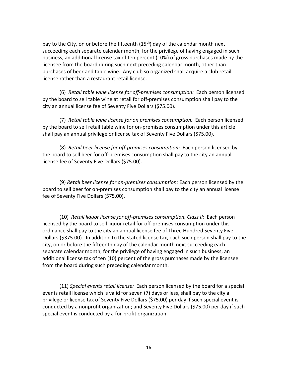pay to the City, on or before the fifteenth (15<sup>th</sup>) day of the calendar month next succeeding each separate calendar month, for the privilege of having engaged in such business, an additional license tax of ten percent (10%) of gross purchases made by the licensee from the board during such next preceding calendar month, other than purchases of beer and table wine. Any club so organized shall acquire a club retail license rather than a restaurant retail license.

(6) *Retail table wine license for off-premises consumption:* Each person licensed by the board to sell table wine at retail for off-premises consumption shall pay to the city an annual license fee of Seventy Five Dollars (\$75.00).

(7) *Retail table wine license for on premises consumption:* Each person licensed by the board to sell retail table wine for on-premises consumption under this article shall pay an annual privilege or license tax of Seventy Five Dollars (\$75.00).

(8) *Retail beer license for off-premises consumption:* Each person licensed by the board to sell beer for off-premises consumption shall pay to the city an annual license fee of Seventy Five Dollars (\$75.00).

(9) *Retail beer license for on-premises consumption:* Each person licensed by the board to sell beer for on-premises consumption shall pay to the city an annual license fee of Seventy Five Dollars (\$75.00).

(10) *Retail liquor license for off-premises consumption, Class II:* Each person licensed by the board to sell liquor retail for off-premises consumption under this ordinance shall pay to the city an annual license fee of Three Hundred Seventy Five Dollars (\$375.00). In addition to the stated license tax, each such person shall pay to the city, on or before the fifteenth day of the calendar month next succeeding each separate calendar month, for the privilege of having engaged in such business, an additional license tax of ten (10) percent of the gross purchases made by the licensee from the board during such preceding calendar month.

(11) *Special events retail license:* Each person licensed by the board for a special events retail license which is valid for seven (7) days or less, shall pay to the city a privilege or license tax of Seventy Five Dollars (\$75.00) per day if such special event is conducted by a nonprofit organization; and Seventy Five Dollars (\$75.00) per day if such special event is conducted by a for-profit organization.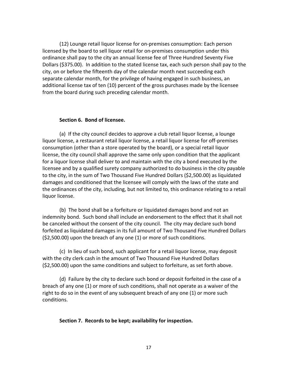(12) Lounge retail liquor license for on-premises consumption: Each person licensed by the board to sell liquor retail for on-premises consumption under this ordinance shall pay to the city an annual license fee of Three Hundred Seventy Five Dollars (\$375.00). In addition to the stated license tax, each such person shall pay to the city, on or before the fifteenth day of the calendar month next succeeding each separate calendar month, for the privilege of having engaged in such business, an additional license tax of ten (10) percent of the gross purchases made by the licensee from the board during such preceding calendar month.

#### **Section 6. Bond of licensee.**

(a) If the city council decides to approve a club retail liquor license, a lounge liquor license, a restaurant retail liquor license, a retail liquor license for off-premises consumption (other than a store operated by the board), or a special retail liquor license, the city council shall approve the same only upon condition that the applicant for a liquor license shall deliver to and maintain with the city a bond executed by the licensee and by a qualified surety company authorized to do business in the city payable to the city, in the sum of Two Thousand Five Hundred Dollars (\$2,500.00) as liquidated damages and conditioned that the licensee will comply with the laws of the state and the ordinances of the city, including, but not limited to, this ordinance relating to a retail liquor license.

(b) The bond shall be a forfeiture or liquidated damages bond and not an indemnity bond. Such bond shall include an endorsement to the effect that it shall not be canceled without the consent of the city council. The city may declare such bond forfeited as liquidated damages in its full amount of Two Thousand Five Hundred Dollars (\$2,500.00) upon the breach of any one (1) or more of such conditions.

(c) In lieu of such bond, such applicant for a retail liquor license, may deposit with the city clerk cash in the amount of Two Thousand Five Hundred Dollars (\$2,500.00) upon the same conditions and subject to forfeiture, as set forth above.

(d) Failure by the city to declare such bond or deposit forfeited in the case of a breach of any one (1) or more of such conditions, shall not operate as a waiver of the right to do so in the event of any subsequent breach of any one (1) or more such conditions.

#### **Section 7. Records to be kept; availability for inspection.**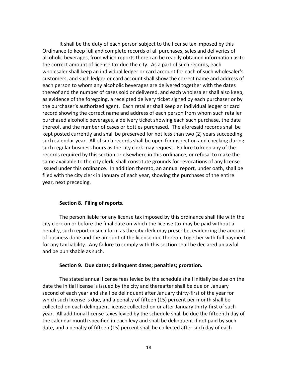It shall be the duty of each person subject to the license tax imposed by this Ordinance to keep full and complete records of all purchases, sales and deliveries of alcoholic beverages, from which reports there can be readily obtained information as to the correct amount of license tax due the city. As a part of such records, each wholesaler shall keep an individual ledger or card account for each of such wholesaler's customers, and such ledger or card account shall show the correct name and address of each person to whom any alcoholic beverages are delivered together with the dates thereof and the number of cases sold or delivered, and each wholesaler shall also keep, as evidence of the foregoing, a receipted delivery ticket signed by each purchaser or by the purchaser's authorized agent. Each retailer shall keep an individual ledger or card record showing the correct name and address of each person from whom such retailer purchased alcoholic beverages, a delivery ticket showing each such purchase, the date thereof, and the number of cases or bottles purchased. The aforesaid records shall be kept posted currently and shall be preserved for not less than two (2) years succeeding such calendar year. All of such records shall be open for inspection and checking during such regular business hours as the city clerk may request. Failure to keep any of the records required by this section or elsewhere in this ordinance, or refusal to make the same available to the city clerk, shall constitute grounds for revocations of any license issued under this ordinance. In addition thereto, an annual report, under oath, shall be filed with the city clerk in January of each year, showing the purchases of the entire year, next preceding.

#### **Section 8. Filing of reports.**

The person liable for any license tax imposed by this ordinance shall file with the city clerk on or before the final date on which the license tax may be paid without a penalty, such report in such form as the city clerk may prescribe, evidencing the amount of business done and the amount of the license due thereon, together with full payment for any tax liability. Any failure to comply with this section shall be declared unlawful and be punishable as such.

#### **Section 9. Due dates; delinquent dates; penalties; proration.**

The stated annual license fees levied by the schedule shall initially be due on the date the initial license is issued by the city and thereafter shall be due on January second of each year and shall be delinquent after January thirty-first of the year for which such license is due, and a penalty of fifteen (15) percent per month shall be collected on each delinquent license collected on or after January thirty-first of such year. All additional license taxes levied by the schedule shall be due the fifteenth day of the calendar month specified in each levy and shall be delinquent if not paid by such date, and a penalty of fifteen (15) percent shall be collected after such day of each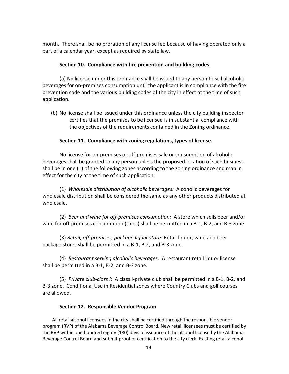month. There shall be no proration of any license fee because of having operated only a part of a calendar year, except as required by state law.

#### **Section 10. Compliance with fire prevention and building codes.**

(a) No license under this ordinance shall be issued to any person to sell alcoholic beverages for on-premises consumption until the applicant is in compliance with the fire prevention code and the various building codes of the city in effect at the time of such application.

(b) No license shall be issued under this ordinance unless the city building inspector certifies that the premises to be licensed is in substantial compliance with the objectives of the requirements contained in the Zoning ordinance.

## **Section 11. Compliance with zoning regulations, types of license.**

No license for on-premises or off-premises sale or consumption of alcoholic beverages shall be granted to any person unless the proposed location of such business shall be in one (1) of the following zones according to the zoning ordinance and map in effect for the city at the time of such application:

(1) *Wholesale distribution of alcoholic beverages:* Alcoholic beverages for wholesale distribution shall be considered the same as any other products distributed at wholesale.

(2) *Beer and wine for off-premises consumption:* A store which sells beer and/or wine for off-premises consumption (sales) shall be permitted in a B-1, B-2, and B-3 zone.

(3) *Retail, off-premises, package liquor store:* Retail liquor, wine and beer package stores shall be permitted in a B-1, B-2, and B-3 zone.

(4) *Restaurant serving alcoholic beverages:* A restaurant retail liquor license shall be permitted in a B-1, B-2, and B-3 zone.

(5) *Private club-class I:* A class I-private club shall be permitted in a B-1, B-2, and B-3 zone. Conditional Use in Residential zones where Country Clubs and golf courses are allowed.

#### **Section 12. Responsible Vendor Program**.

All retail alcohol licensees in the city shall be certified through the responsible vendor program (RVP) of the Alabama Beverage Control Board. New retail licensees must be certified by the RVP within one hundred eighty (180) days of issuance of the alcohol license by the Alabama Beverage Control Board and submit proof of certification to the city clerk. Existing retail alcohol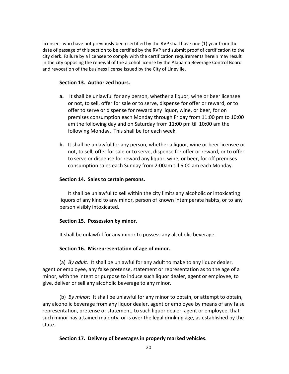licensees who have not previously been certified by the RVP shall have one (1) year from the date of passage of this section to be certified by the RVP and submit proof of certification to the city clerk. Failure by a licensee to comply with the certification requirements herein may result in the city opposing the renewal of the alcohol license by the Alabama Beverage Control Board and revocation of the business license issued by the City of Lineville.

#### **Section 13. Authorized hours.**

- **a.** It shall be unlawful for any person, whether a liquor, wine or beer licensee or not, to sell, offer for sale or to serve, dispense for offer or reward, or to offer to serve or dispense for reward any liquor, wine, or beer, for on premises consumption each Monday through Friday from 11:00 pm to 10:00 am the following day and on Saturday from 11:00 pm till 10:00 am the following Monday. This shall be for each week.
- **b.** It shall be unlawful for any person, whether a liquor, wine or beer licensee or not, to sell, offer for sale or to serve, dispense for offer or reward, or to offer to serve or dispense for reward any liquor, wine, or beer, for off premises consumption sales each Sunday from 2:00am till 6:00 am each Monday.

## **Section 14. Sales to certain persons.**

It shall be unlawful to sell within the city limits any alcoholic or intoxicating liquors of any kind to any minor, person of known intemperate habits, or to any person visibly intoxicated.

## **Section 15. Possession by minor.**

It shall be unlawful for any minor to possess any alcoholic beverage.

## **Section 16. Misrepresentation of age of minor.**

(a) *By adult:* It shall be unlawful for any adult to make to any liquor dealer, agent or employee, any false pretense, statement or representation as to the age of a minor, with the intent or purpose to induce such liquor dealer, agent or employee, to give, deliver or sell any alcoholic beverage to any minor.

(b) *By minor:* It shall be unlawful for any minor to obtain, or attempt to obtain, any alcoholic beverage from any liquor dealer, agent or employee by means of any false representation, pretense or statement, to such liquor dealer, agent or employee, that such minor has attained majority, or is over the legal drinking age, as established by the state.

## **Section 17. Delivery of beverages in properly marked vehicles.**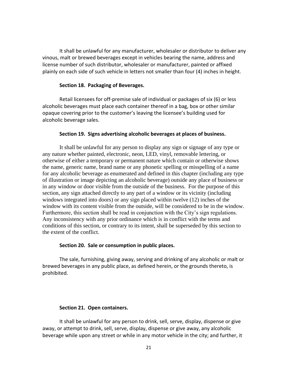It shall be unlawful for any manufacturer, wholesaler or distributor to deliver any vinous, malt or brewed beverages except in vehicles bearing the name, address and license number of such distributor, wholesaler or manufacturer, painted or affixed plainly on each side of such vehicle in letters not smaller than four (4) inches in height.

#### **Section 18. Packaging of Beverages.**

Retail licensees for off-premise sale of individual or packages of six (6) or less alcoholic beverages must place each container thereof in a bag, box or other similar opaque covering prior to the customer's leaving the licensee's building used for alcoholic beverage sales.

#### **Section 19. Signs advertising alcoholic beverages at places of business.**

It shall be unlawful for any person to display any sign or signage of any type or any nature whether painted, electronic, neon, LED, vinyl, removable lettering, or otherwise of either a temporary or permanent nature which contain or otherwise shows the name, generic name, brand name or any phonetic spelling or misspelling of a name for any alcoholic beverage as enumerated and defined in this chapter (including any type of illustration or image depicting an alcoholic beverage) outside any place of business or in any window or door visible from the outside of the business. For the purpose of this section, any sign attached directly to any part of a window or its vicinity (including windows integrated into doors) or any sign placed within twelve (12) inches of the window with its content visible from the outside, will be considered to be in the window. Furthermore, this section shall be read in conjunction with the City's sign regulations. Any inconsistency with any prior ordinance which is in conflict with the terms and conditions of this section, or contrary to its intent, shall be superseded by this section to the extent of the conflict.

#### **Section 20. Sale or consumption in public places.**

The sale, furnishing, giving away, serving and drinking of any alcoholic or malt or brewed beverages in any public place, as defined herein, or the grounds thereto, is prohibited.

#### **Section 21. Open containers.**

It shall be unlawful for any person to drink, sell, serve, display, dispense or give away, or attempt to drink, sell, serve, display, dispense or give away, any alcoholic beverage while upon any street or while in any motor vehicle in the city; and further, it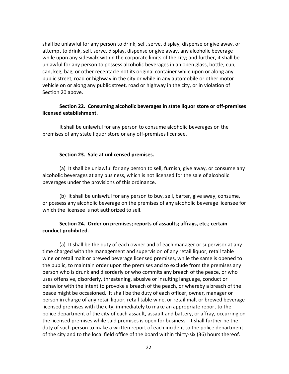shall be unlawful for any person to drink, sell, serve, display, dispense or give away, or attempt to drink, sell, serve, display, dispense or give away, any alcoholic beverage while upon any sidewalk within the corporate limits of the city; and further, it shall be unlawful for any person to possess alcoholic beverages in an open glass, bottle, cup, can, keg, bag, or other receptacle not its original container while upon or along any public street, road or highway in the city or while in any automobile or other motor vehicle on or along any public street, road or highway in the city, or in violation of Section 20 above.

## **Section 22. Consuming alcoholic beverages in state liquor store or off-premises licensed establishment.**

It shall be unlawful for any person to consume alcoholic beverages on the premises of any state liquor store or any off-premises licensee.

## **Section 23. Sale at unlicensed premises.**

(a) It shall be unlawful for any person to sell, furnish, give away, or consume any alcoholic beverages at any business, which is not licensed for the sale of alcoholic beverages under the provisions of this ordinance.

(b) It shall be unlawful for any person to buy, sell, barter, give away, consume, or possess any alcoholic beverage on the premises of any alcoholic beverage licensee for which the licensee is not authorized to sell.

## **Section 24. Order on premises; reports of assaults; affrays, etc.; certain conduct prohibited.**

(a) It shall be the duty of each owner and of each manager or supervisor at any time charged with the management and supervision of any retail liquor, retail table wine or retail malt or brewed beverage licensed premises, while the same is opened to the public, to maintain order upon the premises and to exclude from the premises any person who is drunk and disorderly or who commits any breach of the peace, or who uses offensive, disorderly, threatening, abusive or insulting language, conduct or behavior with the intent to provoke a breach of the peach, or whereby a breach of the peace might be occasioned. It shall be the duty of each officer, owner, manager or person in charge of any retail liquor, retail table wine, or retail malt or brewed beverage licensed premises with the city, immediately to make an appropriate report to the police department of the city of each assault, assault and battery, or affray, occurring on the licensed premises while said premises is open for business. It shall further be the duty of such person to make a written report of each incident to the police department of the city and to the local field office of the board within thirty-six (36) hours thereof.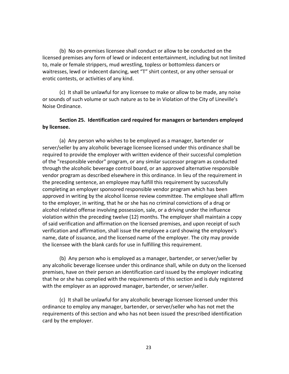(b) No on-premises licensee shall conduct or allow to be conducted on the licensed premises any form of lewd or indecent entertainment, including but not limited to, male or female strippers, mud wrestling, topless or bottomless dancers or waitresses, lewd or indecent dancing, wet "T" shirt contest, or any other sensual or erotic contests, or activities of any kind.

(c) It shall be unlawful for any licensee to make or allow to be made, any noise or sounds of such volume or such nature as to be in Violation of the City of Lineville's Noise Ordinance.

## **Section 25. Identification card required for managers or bartenders employed by licensee.**

(a) Any person who wishes to be employed as a manager, bartender or server/seller by any alcoholic beverage licensee licensed under this ordinance shall be required to provide the employer with written evidence of their successful completion of the "responsible vendor" program, or any similar successor program as conducted through the alcoholic beverage control board, or an approved alternative responsible vendor program as described elsewhere in this ordinance. In lieu of the requirement in the preceding sentence, an employee may fulfill this requirement by successfully completing an employer sponsored responsible vendor program which has been approved in writing by the alcohol license review committee. The employee shall affirm to the employer, in writing, that he or she has no criminal convictions of a drug or alcohol related offense involving possession, sale, or a driving under the influence violation within the preceding twelve (12) months. The employer shall maintain a copy of said verification and affirmation on the licensed premises, and upon receipt of such verification and affirmation, shall issue the employee a card showing the employee's name, date of issuance, and the licensed name of the employer. The city may provide the licensee with the blank cards for use in fulfilling this requirement.

(b) Any person who is employed as a manager, bartender, or server/seller by any alcoholic beverage licensee under this ordinance shall, while on duty on the licensed premises, have on their person an identification card issued by the employer indicating that he or she has complied with the requirements of this section and is duly registered with the employer as an approved manager, bartender, or server/seller.

(c) It shall be unlawful for any alcoholic beverage licensee licensed under this ordinance to employ any manager, bartender, or server/seller who has not met the requirements of this section and who has not been issued the prescribed identification card by the employer.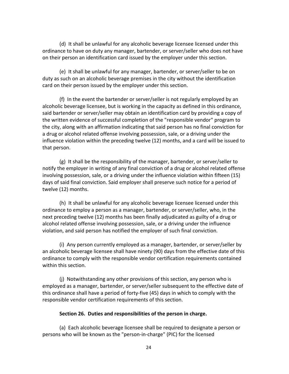(d) It shall be unlawful for any alcoholic beverage licensee licensed under this ordinance to have on duty any manager, bartender, or server/seller who does not have on their person an identification card issued by the employer under this section.

(e) It shall be unlawful for any manager, bartender, or server/seller to be on duty as such on an alcoholic beverage premises in the city without the identification card on their person issued by the employer under this section.

(f) In the event the bartender or server/seller is not regularly employed by an alcoholic beverage licensee, but is working in the capacity as defined in this ordinance, said bartender or server/seller may obtain an identification card by providing a copy of the written evidence of successful completion of the "responsible vendor" program to the city, along with an affirmation indicating that said person has no final conviction for a drug or alcohol related offense involving possession, sale, or a driving under the influence violation within the preceding twelve (12) months, and a card will be issued to that person.

(g) It shall be the responsibility of the manager, bartender, or server/seller to notify the employer in writing of any final conviction of a drug or alcohol related offense involving possession, sale, or a driving under the influence violation within fifteen (15) days of said final conviction. Said employer shall preserve such notice for a period of twelve (12) months.

(h) It shall be unlawful for any alcoholic beverage licensee licensed under this ordinance to employ a person as a manager, bartender, or server/seller, who, in the next preceding twelve (12) months has been finally adjudicated as guilty of a drug or alcohol related offense involving possession, sale, or a driving under the influence violation, and said person has notified the employer of such final conviction.

(i) Any person currently employed as a manager, bartender, or server/seller by an alcoholic beverage licensee shall have ninety (90) days from the effective date of this ordinance to comply with the responsible vendor certification requirements contained within this section.

(j) Notwithstanding any other provisions of this section, any person who is employed as a manager, bartender, or server/seller subsequent to the effective date of this ordinance shall have a period of forty-five (45) days in which to comply with the responsible vendor certification requirements of this section.

## **Section 26. Duties and responsibilities of the person in charge.**

(a) Each alcoholic beverage licensee shall be required to designate a person or persons who will be known as the "person-in-charge" (PIC) for the licensed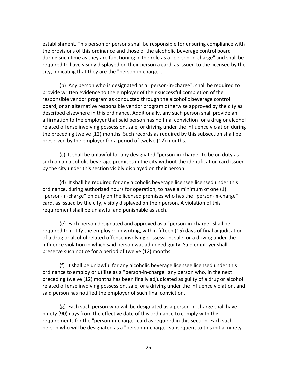establishment. This person or persons shall be responsible for ensuring compliance with the provisions of this ordinance and those of the alcoholic beverage control board during such time as they are functioning in the role as a "person-in-charge" and shall be required to have visibly displayed on their person a card, as issued to the licensee by the city, indicating that they are the "person-in-charge".

(b) Any person who is designated as a "person-in-charge", shall be required to provide written evidence to the employer of their successful completion of the responsible vendor program as conducted through the alcoholic beverage control board, or an alternative responsible vendor program otherwise approved by the city as described elsewhere in this ordinance. Additionally, any such person shall provide an affirmation to the employer that said person has no final conviction for a drug or alcohol related offense involving possession, sale, or driving under the influence violation during the preceding twelve (12) months. Such records as required by this subsection shall be preserved by the employer for a period of twelve (12) months.

(c) It shall be unlawful for any designated "person-in-charge" to be on duty as such on an alcoholic beverage premises in the city without the identification card issued by the city under this section visibly displayed on their person.

(d) It shall be required for any alcoholic beverage licensee licensed under this ordinance, during authorized hours for operation, to have a minimum of one (1) "person-in-charge" on duty on the licensed premises who has the "person-in-charge" card, as issued by the city, visibly displayed on their person. A violation of this requirement shall be unlawful and punishable as such.

(e) Each person designated and approved as a "person-in-charge" shall be required to notify the employer, in writing, within fifteen (15) days of final adjudication of a drug or alcohol related offense involving possession, sale, or a driving under the influence violation in which said person was adjudged guilty. Said employer shall preserve such notice for a period of twelve (12) months.

(f) It shall be unlawful for any alcoholic beverage licensee licensed under this ordinance to employ or utilize as a "person-in-charge" any person who, in the next preceding twelve (12) months has been finally adjudicated as guilty of a drug or alcohol related offense involving possession, sale, or a driving under the influence violation, and said person has notified the employer of such final conviction.

(g) Each such person who will be designated as a person-in-charge shall have ninety (90) days from the effective date of this ordinance to comply with the requirements for the "person-in-charge" card as required in this section. Each such person who will be designated as a "person-in-charge" subsequent to this initial ninety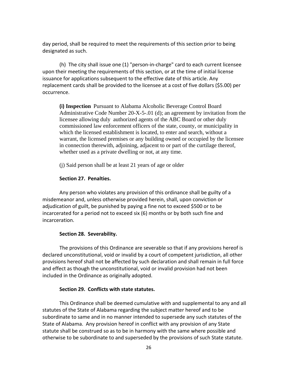day period, shall be required to meet the requirements of this section prior to being designated as such.

(h) The city shall issue one (1) "person-in-charge" card to each current licensee upon their meeting the requirements of this section, or at the time of initial license issuance for applications subsequent to the effective date of this article. Any replacement cards shall be provided to the licensee at a cost of five dollars (\$5.00) per occurrence.

**(i) Inspection** Pursuant to Alabama Alcoholic Beverage Control Board Administrative Code Number 20-X-5-.01 (d); an agreement by invitation from the licensee allowing duly authorized agents of the ABC Board or other duly commissioned law enforcement officers of the state, county, or municipality in which the licensed establishment is located, to enter and search, without a warrant, the licensed premises or any building owned or occupied by the licensee in connection therewith, adjoining, adjacent to or part of the curtilage thereof, whether used as a private dwelling or not, at any time.

(j) Said person shall be at least 21 years of age or older

## **Section 27. Penalties.**

Any person who violates any provision of this ordinance shall be guilty of a misdemeanor and, unless otherwise provided herein, shall, upon conviction or adjudication of guilt, be punished by paying a fine not to exceed \$500 or to be incarcerated for a period not to exceed six (6) months or by both such fine and incarceration.

#### **Section 28. Severability.**

The provisions of this Ordinance are severable so that if any provisions hereof is declared unconstitutional, void or invalid by a court of competent jurisdiction, all other provisions hereof shall not be affected by such declaration and shall remain in full force and effect as though the unconstitutional, void or invalid provision had not been included in the Ordinance as originally adopted.

#### **Section 29. Conflicts with state statutes.**

This Ordinance shall be deemed cumulative with and supplemental to any and all statutes of the State of Alabama regarding the subject matter hereof and to be subordinate to same and in no manner intended to supersede any such statutes of the State of Alabama. Any provision hereof in conflict with any provision of any State statute shall be construed so as to be in harmony with the same where possible and otherwise to be subordinate to and superseded by the provisions of such State statute.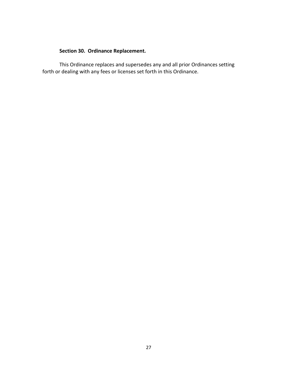## **Section 30. Ordinance Replacement.**

This Ordinance replaces and supersedes any and all prior Ordinances setting forth or dealing with any fees or licenses set forth in this Ordinance.